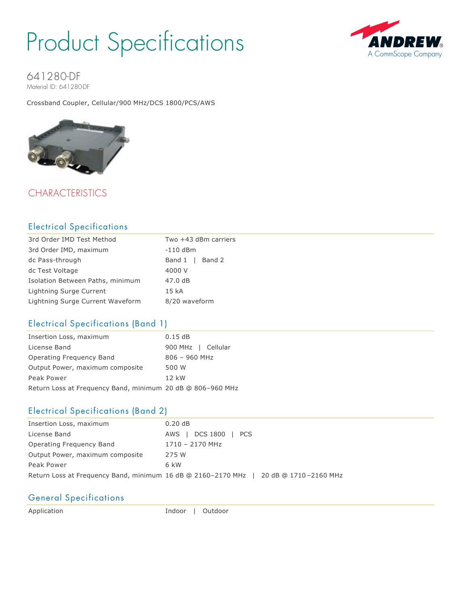## Product Specifications



641280-DF Material ID: 641280-DF

Crossband Coupler, Cellular/900 MHz/DCS 1800/PCS/AWS



### **CHARACTERISTICS**

### Electrical Specifications

| 3rd Order IMD Test Method        | Two +43 dBm carriers |
|----------------------------------|----------------------|
| 3rd Order IMD, maximum           | $-110$ dBm           |
| dc Pass-through                  | Band 1   Band 2      |
| dc Test Voltage                  | 4000 V               |
| Isolation Between Paths, minimum | 47.0 dB              |
| Lightning Surge Current          | 15 <sub>kA</sub>     |
| Lightning Surge Current Waveform | 8/20 waveform        |

### Electrical Specifications (Band 1)

| Insertion Loss, maximum                                    | 0.15dB             |
|------------------------------------------------------------|--------------------|
| License Band                                               | 900 MHz   Cellular |
| Operating Freguency Band                                   | $806 - 960$ MHz    |
| Output Power, maximum composite                            | 500 W              |
| Peak Power                                                 | $12$ kW            |
| Return Loss at Frequency Band, minimum 20 dB @ 806-960 MHz |                    |

### Electrical Specifications (Band 2)

| Insertion Loss, maximum                                      | 0.20dB                |
|--------------------------------------------------------------|-----------------------|
| License Band                                                 | DCS 1800   PCS<br>AWS |
| Operating Frequency Band                                     | 1710 - 2170 MHz       |
| Output Power, maximum composite                              | 275 W                 |
| Peak Power                                                   | 6 kW                  |
| Return Loss at Frequency Band, minimum 16 dB @ 2160-2170 MHz | 20 dB @ 1710-2160 MHz |

### General Specifications

Application **Indoor** | Outdoor